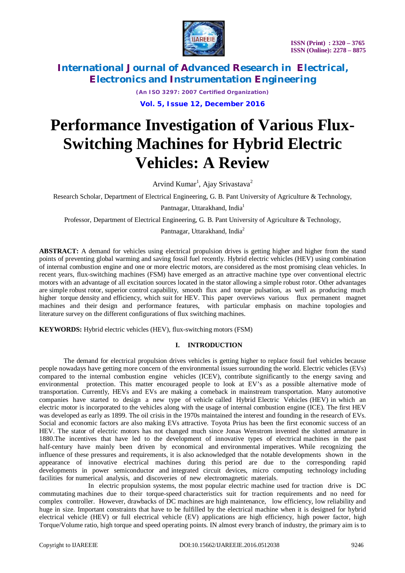

*(An ISO 3297: 2007 Certified Organization)* **Vol. 5, Issue 12, December 2016**

# **Performance Investigation of Various Flux-Switching Machines for Hybrid Electric Vehicles: A Review**

Arvind Kumar<sup>1</sup>, Ajay Srivastava<sup>2</sup>

Research Scholar, Department of Electrical Engineering, G. B. Pant University of Agriculture & Technology,

Pantnagar, Uttarakhand, India<sup>1</sup>

Professor, Department of Electrical Engineering, G. B. Pant University of Agriculture & Technology,

Pantnagar, Uttarakhand, India<sup>2</sup>

**ABSTRACT:** A demand for vehicles using electrical propulsion drives is getting higher and higher from the stand points of preventing global warming and saving fossil fuel recently. Hybrid electric vehicles (HEV) using combination of internal combustion engine and one or more electric motors, are considered as the most promising clean vehicles. In recent years, flux-switching machines (FSM) have emerged as an attractive machine type over conventional electric motors with an advantage of all excitation sources located in the stator allowing a simple robust rotor. Other advantages are simple robust rotor, superior control capability, smooth flux and torque pulsation, as well as producing much higher torque density and efficiency, which suit for HEV. This paper overviews various flux permanent magnet machines and their design and performance features, with particular emphasis on machine topologies and literature survey on the different configurations of flux switching machines.

**KEYWORDS:** Hybrid electric vehicles (HEV), flux-switching motors (FSM)

### **I. INTRODUCTION**

The demand for electrical propulsion drives vehicles is getting higher to replace fossil fuel vehicles because people nowadays have getting more concern of the environmental issues surrounding the world. Electric vehicles (EVs) compared to the internal combustion engine vehicles (ICEV), contribute significantly to the energy saving and environmental protection. This matter encouraged people to look at EV's as a possible alternative mode of transportation. Currently, HEVs and EVs are making a comeback in mainstream transportation. Many automotive companies have started to design a new type of vehicle called Hybrid Electric Vehicles (HEV) in which an electric motor is incorporated to the vehicles along with the usage of internal combustion engine (ICE). The first HEV was developed as early as 1899. The oil crisis in the 1970s maintained the interest and founding in the research of EVs. Social and economic factors are also making EVs attractive. Toyota Prius has been the first economic success of an HEV. The stator of electric motors has not changed much since Jonas Wenstrom invented the slotted armature in 1880.The incentives that have led to the development of innovative types of electrical machines in the past half-century have mainly been driven by economical and environmental imperatives. While recognizing the influence of these pressures and requirements, it is also acknowledged that the notable developments shown in the appearance of innovative electrical machines during this period are due to the corresponding rapid developments in power semiconductor and integrated circuit devices, micro computing technology including facilities for numerical analysis, and discoveries of new electromagnetic materials.

In electric propulsion systems, the most popular electric machine used for traction drive is DC commutating machines due to their torque-speed characteristics suit for traction requirements and no need for complex controller. However, drawbacks of DC machines are high maintenance, low efficiency, low reliability and huge in size. Important constraints that have to be fulfilled by the electrical machine when it is designed for hybrid electrical vehicle (HEV) or full electrical vehicle (EV) applications are high efficiency, high power factor, high Torque/Volume ratio, high torque and speed operating points. IN almost every branch of industry, the primary aim is to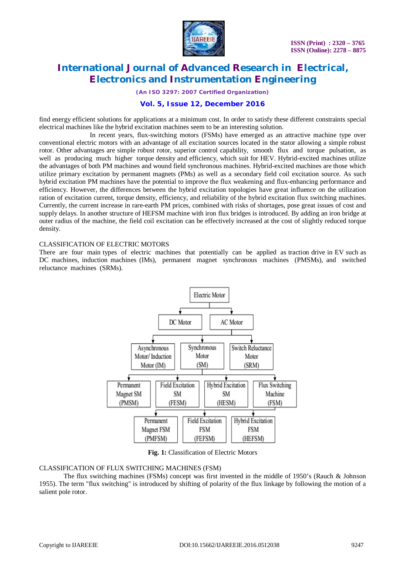

*(An ISO 3297: 2007 Certified Organization)*

# **Vol. 5, Issue 12, December 2016**

find energy efficient solutions for applications at a minimum cost. In order to satisfy these different constraints special electrical machines like the hybrid excitation machines seem to be an interesting solution.

In recent years, flux-switching motors (FSMs) have emerged as an attractive machine type over conventional electric motors with an advantage of all excitation sources located in the stator allowing a simple robust rotor. Other advantages are simple robust rotor, superior control capability, smooth flux and torque pulsation, as well as producing much higher torque density and efficiency, which suit for HEV. Hybrid-excited machines utilize the advantages of both PM machines and wound field synchronous machines. Hybrid-excited machines are those which utilize primary excitation by permanent magnets (PMs) as well as a secondary field coil excitation source. As such hybrid excitation PM machines have the potential to improve the flux weakening and flux-enhancing performance and efficiency. However, the differences between the hybrid excitation topologies have great influence on the utilization ration of excitation current, torque density, efficiency, and reliability of the hybrid excitation flux switching machines. Currently, the current increase in rare-earth PM prices, combined with risks of shortages, pose great issues of cost and supply delays. In another structure of HEFSM machine with iron flux bridges is introduced. By adding an iron bridge at outer radius of the machine, the field coil excitation can be effectively increased at the cost of slightly reduced torque density.

### CLASSIFICATION OF ELECTRIC MOTORS

There are four main types of electric machines that potentially can be applied as traction drive in EV such as DC machines, induction machines (IMs), permanent magnet synchronous machines (PMSMs), and switched reluctance machines (SRMs).



**Fig. 1:** Classification of Electric Motors

### CLASSIFICATION OF FLUX SWITCHING MACHINES (FSM)

The flux switching machines (FSMs) concept was first invented in the middle of 1950's (Rauch & Johnson 1955). The term "flux switching" is introduced by shifting of polarity of the flux linkage by following the motion of a salient pole rotor.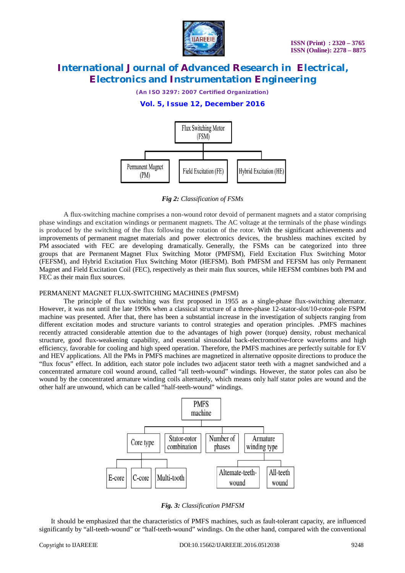

*(An ISO 3297: 2007 Certified Organization)*

## **Vol. 5, Issue 12, December 2016**



*Fig 2: Classification of FSMs*

A flux-switching machine comprises a non-wound rotor devoid of permanent magnets and a stator comprising phase windings and excitation windings or permanent magnets. The AC voltage at the terminals of the phase windings is produced by the switching of the flux following the rotation of the rotor. With the significant achievements and improvements of permanent magnet materials and power electronics devices, the brushless machines excited by PM associated with FEC are developing dramatically. Generally, the FSMs can be categorized into three groups that are Permanent Magnet Flux Switching Motor (PMFSM), Field Excitation Flux Switching Motor (FEFSM), and Hybrid Excitation Flux Switching Motor (HEFSM). Both PMFSM and FEFSM has only Permanent Magnet and Field Excitation Coil (FEC), respectively as their main flux sources, while HEFSM combines both PM and FEC as their main flux sources.

### PERMANENT MAGNET FLUX-SWITCHING MACHINES (PMFSM)

The principle of flux switching was first proposed in 1955 as a single-phase flux-switching alternator. However, it was not until the late 1990s when a classical structure of a three-phase 12-stator-slot/10-rotor-pole FSPM machine was presented. After that, there has been a substantial increase in the investigation of subjects ranging from different excitation modes and structure variants to control strategies and operation principles. .PMFS machines recently attracted considerable attention due to the advantages of high power (torque) density, robust mechanical structure, good flux-weakening capability, and essential sinusoidal back-electromotive-force waveforms and high efficiency, favorable for cooling and high speed operation. Therefore, the PMFS machines are perfectly suitable for EV and HEV applications. All the PMs in PMFS machines are magnetized in alternative opposite directions to produce the "flux focus" effect. In addition, each stator pole includes two adjacent stator teeth with a magnet sandwiched and a concentrated armature coil wound around, called "all teeth-wound" windings. However, the stator poles can also be wound by the concentrated armature winding coils alternately, which means only half stator poles are wound and the other half are unwound, which can be called "half-teeth-wound" windings.





 It should be emphasized that the characteristics of PMFS machines, such as fault-tolerant capacity, are influenced significantly by "all-teeth-wound" or "half-teeth-wound" windings. On the other hand, compared with the conventional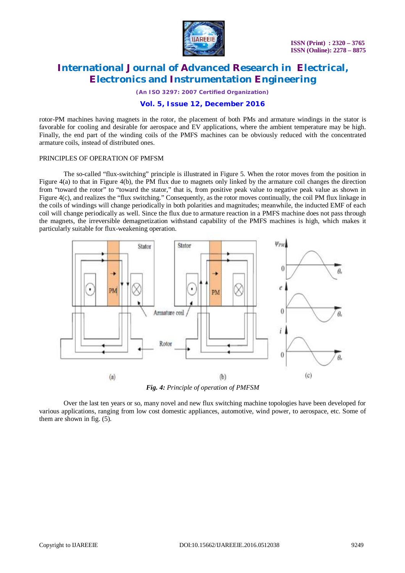

*(An ISO 3297: 2007 Certified Organization)*

### **Vol. 5, Issue 12, December 2016**

rotor-PM machines having magnets in the rotor, the placement of both PMs and armature windings in the stator is favorable for cooling and desirable for aerospace and EV applications, where the ambient temperature may be high. Finally, the end part of the winding coils of the PMFS machines can be obviously reduced with the concentrated armature coils, instead of distributed ones.

#### PRINCIPLES OF OPERATION OF PMFSM

The so-called "flux-switching" principle is illustrated in Figure 5. When the rotor moves from the position in Figure 4(a) to that in Figure 4(b), the PM flux due to magnets only linked by the armature coil changes the direction from "toward the rotor" to "toward the stator," that is, from positive peak value to negative peak value as shown in Figure 4(c), and realizes the "flux switching." Consequently, as the rotor moves continually, the coil PM flux linkage in the coils of windings will change periodically in both polarities and magnitudes; meanwhile, the inducted EMF of each coil will change periodically as well. Since the flux due to armature reaction in a PMFS machine does not pass through the magnets, the irreversible demagnetization withstand capability of the PMFS machines is high, which makes it particularly suitable for flux-weakening operation.



*Fig. 4: Principle of operation of PMFSM*

Over the last ten years or so, many novel and new flux switching machine topologies have been developed for various applications, ranging from low cost domestic appliances, automotive, wind power, to aerospace, etc. Some of them are shown in fig. (5).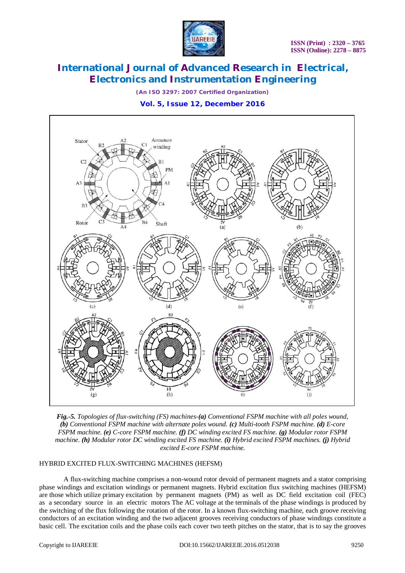

*(An ISO 3297: 2007 Certified Organization)*

**Vol. 5, Issue 12, December 2016**



*Fig.-5. Topologies of flux-switching (FS) machines-(a) Conventional FSPM machine with all poles wound, (b) Conventional FSPM machine with alternate poles wound. (c) Multi-tooth FSPM machine. (d) E-core FSPM machine. (e) C-core FSPM machine. (f) DC winding excited FS machine. (g) Modular rotor FSPM machine. (h) Modular rotor DC winding excited FS machine. (i) Hybrid excited FSPM machines. (j) Hybrid excited E-core FSPM machine.*

### HYBRID EXCITED FLUX-SWITCHING MACHINES (HEFSM)

A flux-switching machine comprises a non-wound rotor devoid of permanent magnets and a stator comprising phase windings and excitation windings or permanent magnets. Hybrid excitation flux switching machines (HEFSM) are those which utilize primary excitation by permanent magnets (PM) as well as DC field excitation coil (FEC) as a secondary source in an electric motors The AC voltage at the terminals of the phase windings is produced by the switching of the flux following the rotation of the rotor. In a known flux-switching machine, each groove receiving conductors of an excitation winding and the two adjacent grooves receiving conductors of phase windings constitute a basic cell. The excitation coils and the phase coils each cover two teeth pitches on the stator, that is to say the grooves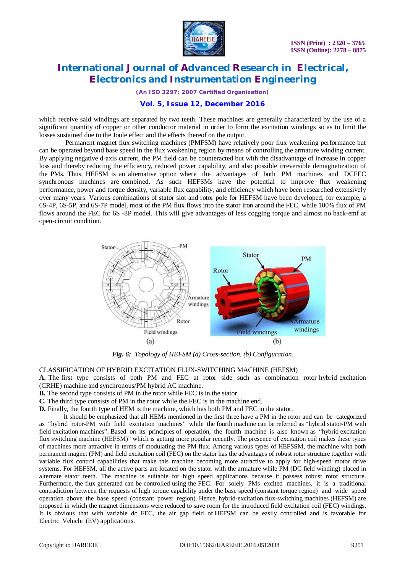

*(An ISO 3297: 2007 Certified Organization)*

### **Vol. 5, Issue 12, December 2016**

which receive said windings are separated by two teeth. These machines are generally characterized by the use of a significant quantity of copper or other conductor material in order to form the excitation windings so as to limit the losses sustained due to the Joule effect and the effects thereof on the output.

Permanent magnet flux switching machines (PMFSM) have relatively poor flux weakening performance but can be operated beyond base speed in the flux weakening region by means of controlling the armature winding current. By applying negative d-axis current, the PM field can be counteracted but with the disadvantage of increase in copper loss and thereby reducing the efficiency, reduced power capability, and also possible irreversible demagnetization of the PMs. Thus, HEFSM is an alternative option where the advantages of both PM machines and DCFEC synchronous machines are combined. As such HEFSMs have the potential to improve flux weakening performance, power and torque density, variable flux capability, and efficiency which have been researched extensively over many years. Various combinations of stator slot and rotor pole for HEFSM have been developed, for example, a 6S-4P, 6S-5P, and 6S-7P model, most of the PM flux flows into the stator iron around the FEC, while 100% flux of PM flows around the FEC for 6S -8P model. This will give advantages of less cogging torque and almost no back-emf at open-circuit condition.



*Fig. 6: Topology of HEFSM (a) Cross-section. (b) Configuration.*

CLASSIFICATION OF HYBRID EXCITATION FLUX-SWITCHING MACHINE (HEFSM)

**A.** The first type consists of both PM and FEC at rotor side such as combination rotor hybrid excitation (CRHE) machine and synchronous/PM hybrid AC machine.

**B.** The second type consists of PM in the rotor while FEC is in the stator.

**C.** The third type consists of PM in the rotor while the FEC is in the machine end.

**D.** Finally, the fourth type of HEM is the machine, which has both PM and FEC in the stator.

It should be emphasized that all HEMs mentioned in the first three have a PM in the rotor and can be categorized as "hybrid rotor-PM with field excitation machines" while the fourth machine can be referred as "hybrid stator-PM with field excitation machines". Based on its principles of operation, the fourth machine is also known as "hybrid excitation flux switching machine (HEFSM)" which is getting more popular recently. The presence of excitation coil makes these types of machines more attractive in terms of modulating the PM flux. Among various types of HEFSSM, the machine with both permanent magnet (PM) and field excitation coil (FEC) on the stator has the advantages of robust rotor structure together with variable flux control capabilities that make this machine becoming more attractive to apply for high-speed motor drive systems. For HEFSM, all the active parts are located on the stator with the armature while PM (DC field winding) placed in alternate stator teeth. The machine is suitable for high speed applications because it possess robust rotor structure. Furthermore, the flux generated can be controlled using the FEC. For solely PMs excited machines, it is a traditional contradiction between the requests of high torque capability under the base speed (constant torque region) and wide speed operation above the base speed (constant power region). Hence, hybrid-excitation flux-switching machines (HEFSM) are proposed in which the magnet dimensions were reduced to save room for the introduced field excitation coil (FEC) windings. It is obvious that with variable dc FEC, the air gap field of HEFSM can be easily controlled and is favorable for Electric Vehicle (EV) applications.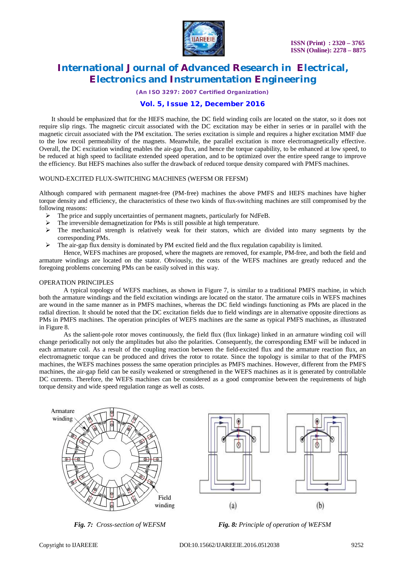

*(An ISO 3297: 2007 Certified Organization)*

### **Vol. 5, Issue 12, December 2016**

It should be emphasized that for the HEFS machine, the DC field winding coils are located on the stator, so it does not require slip rings. The magnetic circuit associated with the DC excitation may be either in series or in parallel with the magnetic circuit associated with the PM excitation. The series excitation is simple and requires a higher excitation MMF due to the low recoil permeability of the magnets. Meanwhile, the parallel excitation is more electromagnetically effective. Overall, the DC excitation winding enables the air-gap flux, and hence the torque capability, to be enhanced at low speed, to be reduced at high speed to facilitate extended speed operation, and to be optimized over the entire speed range to improve the efficiency. But HEFS machines also suffer the drawback of reduced torque density compared with PMFS machines.

#### WOUND-EXCITED FLUX-SWITCHING MACHINES (WEFSM OR FEFSM)

Although compared with permanent magnet-free (PM-free) machines the above PMFS and HEFS machines have higher torque density and efficiency, the characteristics of these two kinds of flux-switching machines are still compromised by the following reasons:

- $\triangleright$  The price and supply uncertainties of permanent magnets, particularly for NdFeB.
- $\triangleright$  The irreversible demagnetization for PMs is still possible at high temperature.
- $\triangleright$  The mechanical strength is relatively weak for their stators, which are divided into many segments by the corresponding PMs.
- $\triangleright$  The air-gap flux density is dominated by PM excited field and the flux regulation capability is limited.

Hence, WEFS machines are proposed, where the magnets are removed, for example, PM-free, and both the field and armature windings are located on the stator. Obviously, the costs of the WEFS machines are greatly reduced and the foregoing problems concerning PMs can be easily solved in this way.

#### OPERATION PRINCIPLES

A typical topology of WEFS machines, as shown in Figure 7, is similar to a traditional PMFS machine, in which both the armature windings and the field excitation windings are located on the stator. The armature coils in WEFS machines are wound in the same manner as in PMFS machines, whereas the DC field windings functioning as PMs are placed in the radial direction. It should be noted that the DC excitation fields due to field windings are in alternative opposite directions as PMs in PMFS machines. The operation principles of WEFS machines are the same as typical PMFS machines, as illustrated in Figure 8.

As the salient-pole rotor moves continuously, the field flux (flux linkage) linked in an armature winding coil will change periodically not only the amplitudes but also the polarities. Consequently, the corresponding EMF will be induced in each armature coil. As a result of the coupling reaction between the field-excited flux and the armature reaction flux, an electromagnetic torque can be produced and drives the rotor to rotate. Since the topology is similar to that of the PMFS machines, the WEFS machines possess the same operation principles as PMFS machines. However, different from the PMFS machines, the air-gap field can be easily weakened or strengthened in the WEFS machines as it is generated by controllable DC currents. Therefore, the WEFS machines can be considered as a good compromise between the requirements of high torque density and wide speed regulation range as well as costs.







*Fig. 7: Cross-section of WEFSM Fig. 8: Principle of operation of WEFSM*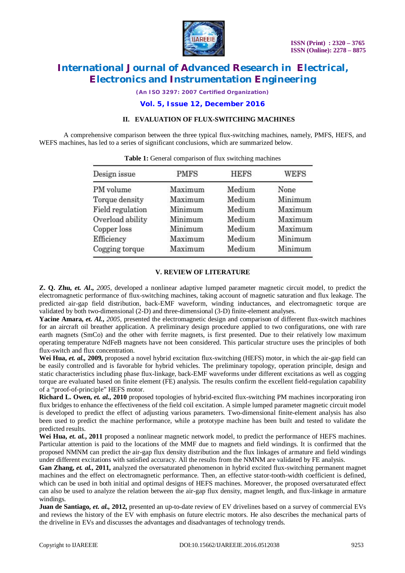

*(An ISO 3297: 2007 Certified Organization)*

**Vol. 5, Issue 12, December 2016**

### **II. EVALUATION OF FLUX-SWITCHING MACHINES**

A comprehensive comparison between the three typical flux-switching machines, namely, PMFS, HEFS, and WEFS machines, has led to a series of significant conclusions, which are summarized below.

| Design issue     | <b>PMFS</b> | <b>HEFS</b> | <b>WEFS</b> |
|------------------|-------------|-------------|-------------|
| PM volume        | Maximum     | Medium      | None        |
| Torque density   | Maximum     | Medium      | Minimum     |
| Field regulation | Minimum     | Medium      | Maximum     |
| Overload ability | Minimum     | Medium      | Maximum     |
| Copper loss      | Minimum     | Medium      | Maximum     |
| Efficiency       | Maximum     | Medium      | Minimum     |
| Cogging torque   | Maximum     | Medium      | Minimum     |
|                  |             |             |             |

### **V. REVIEW OF LITERATURE**

**Z. Q. Zhu,** *et. Al***.,** *2005,* developed a nonlinear adaptive lumped parameter magnetic circuit model, to predict the electromagnetic performance of flux-switching machines, taking account of magnetic saturation and flux leakage. The predicted air-gap field distribution, back-EMF waveform, winding inductances, and electromagnetic torque are validated by both two-dimensional (2-D) and three-dimensional (3-D) finite-element analyses.

**Yacine Amara,** *et. Al.***,** *2005*, presented the electromagnetic design and comparison of different flux-switch machines for an aircraft oil breather application. A preliminary design procedure applied to two configurations, one with rare earth magnets (SmCo) and the other with ferrite magnets, is first presented. Due to their relatively low maximum operating temperature NdFeB magnets have not been considered. This particular structure uses the principles of both flux-switch and flux concentration.

**Wei Hua,** *et. al.,* **2009,** proposed a novel hybrid excitation flux-switching (HEFS) motor, in which the air-gap field can be easily controlled and is favorable for hybrid vehicles. The preliminary topology, operation principle, design and static characteristics including phase flux-linkage, back-EMF waveforms under different excitations as well as cogging torque are evaluated based on finite element (FE) analysis. The results confirm the excellent field-regulation capability of a "proof-of-principle" HEFS motor.

**Richard L. Owen,** *et. al.***, 2010** proposed topologies of hybrid-excited flux-switching PM machines incorporating iron flux bridges to enhance the effectiveness of the field coil excitation. A simple lumped parameter magnetic circuit model is developed to predict the effect of adjusting various parameters. Two-dimensional finite-element analysis has also been used to predict the machine performance, while a prototype machine has been built and tested to validate the predicted results.

Wei Hua, *et. al.*, 2011 proposed a nonlinear magnetic network model, to predict the performance of HEFS machines. Particular attention is paid to the locations of the MMF due to magnets and field windings. It is confirmed that the proposed NMNM can predict the air-gap flux density distribution and the flux linkages of armature and field windings under different excitations with satisfied accuracy. All the results from the NMNM are validated by FE analysis.

**Gan Zhang,** *et. al.,* **2011,** analyzed the oversaturated phenomenon in hybrid excited flux-switching permanent magnet machines and the effect on electromagnetic performance. Then, an effective stator-tooth-width coefficient is defined, which can be used in both initial and optimal designs of HEFS machines. Moreover, the proposed oversaturated effect can also be used to analyze the relation between the air-gap flux density, magnet length, and flux-linkage in armature windings.

**Juan de Santiago,** *et. al.***, 2012**, presented an up-to-date review of EV drivelines based on a survey of commercial EVs and reviews the history of the EV with emphasis on future electric motors. He also describes the mechanical parts of the driveline in EVs and discusses the advantages and disadvantages of technology trends.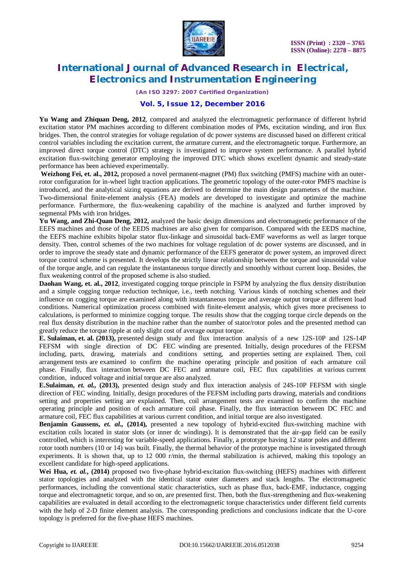

*(An ISO 3297: 2007 Certified Organization)*

### **Vol. 5, Issue 12, December 2016**

**Yu Wang and Zhiquan Deng, 2012**, compared and analyzed the electromagnetic performance of different hybrid excitation stator PM machines according to different combination modes of PMs, excitation winding, and iron flux bridges. Then, the control strategies for voltage regulation of dc power systems are discussed based on different critical control variables including the excitation current, the armature current, and the electromagnetic torque. Furthermore, an improved direct torque control (DTC) strategy is investigated to improve system performance. A parallel hybrid excitation flux-switching generator employing the improved DTC which shows excellent dynamic and steady-state performance has been achieved experimentally.

**Weizhong Fei, et. al., 2012,** proposed a novel permanent-magnet (PM) flux switching (PMFS) machine with an outerrotor configuration for in-wheel light traction applications. The geometric topology of the outer-rotor PMFS machine is introduced, and the analytical sizing equations are derived to determine the main design parameters of the machine. Two-dimensional finite-element analysis (FEA) models are developed to investigate and optimize the machine performance. Furthermore, the flux-weakening capability of the machine is analyzed and further improved by segmental PMs with iron bridges.

**Yu Wang, and Zhi-Quan Deng, 2012,** analyzed the basic design dimensions and electromagnetic performance of the EEFS machines and those of the EEDS machines are also given for comparison. Compared with the EEDS machine, the EEFS machine exhibits bipolar stator flux-linkage and sinusoidal back-EMF waveforms as well as larger torque density. Then, control schemes of the two machines for voltage regulation of dc power systems are discussed, and in order to improve the steady state and dynamic performance of the EEFS generator dc power system, an improved direct torque control scheme is presented. It develops the strictly linear relationship between the torque and sinusoidal value of the torque angle, and can regulate the instantaneous torque directly and smoothly without current loop. Besides, the flux weakening control of the proposed scheme is also studied.

**Daohan Wang, et. al., 2012**, investigated cogging torque principle in FSPM by analyzing the flux density distribution and a simple cogging torque reduction technique, i.e., teeth notching. Various kinds of notching schemes and their influence on cogging torque are examined along with instantaneous torque and average output torque at different load conditions. Numerical optimization process combined with finite-element analysis, which gives more preciseness to calculations, is performed to minimize cogging torque. The results show that the cogging torque circle depends on the real flux density distribution in the machine rather than the number of stator/rotor poles and the presented method can greatly reduce the torque ripple at only slight cost of average output torque.

**E. Sulaiman, et. al. (2013),** presented design study and flux interaction analysis of a new 12S-10P and 12S-14P FEFSM with single direction of DC FEC winding are presented. Initially, design procedures of the FEFSM including, parts, drawing, materials and conditions setting, and properties setting are explained. Then, coil arrangement tests are examined to confirm the machine operating principle and position of each armature coil phase. Finally, flux interaction between DC FEC and armature coil, FEC flux capabilities at various current condition, induced voltage and initial torque are also analyzed.

**E.Sulaiman,** *et. al.,* **(2013),** presented design study and flux interaction analysis of 24S-10P FEFSM with single direction of FEC winding. Initially, design procedures of the FEFSM including parts drawing, materials and conditions setting and properties setting are explained. Then, coil arrangement tests are examined to confirm the machine operating principle and position of each armature coil phase. Finally, the flux interaction between DC FEC and armature coil, FEC flux capabilities at various current condition, and initial torque are also investigated.

**Benjamin Gaussens,** *et. al.,* **(2014),** presented a new topology of hybrid-excited flux-switching machine with excitation coils located in stator slots (or inner dc windings). It is demonstrated that the air-gap field can be easily controlled, which is interesting for variable-speed applications. Finally, a prototype having 12 stator poles and different rotor tooth numbers (10 or 14) was built. Finally, the thermal behavior of the prototype machine is investigated through experiments. It is shown that, up to 12 000 r/min, the thermal stabilization is achieved, making this topology an excellent candidate for high-speed applications.

Wei Hua, *et. al.*, (2014) proposed two five-phase hybrid-excitation flux-switching (HEFS) machines with different stator topologies and analyzed with the identical stator outer diameters and stack lengths. The electromagnetic performances, including the conventional static characteristics, such as phase flux, back-EMF, inductance, cogging torque and electromagnetic torque, and so on, are presented first. Then, both the flux-strengthening and flux-weakening capabilities are evaluated in detail according to the electromagnetic torque characteristics under different field currents with the help of 2-D finite element analysis. The corresponding predictions and conclusions indicate that the U-core topology is preferred for the five-phase HEFS machines.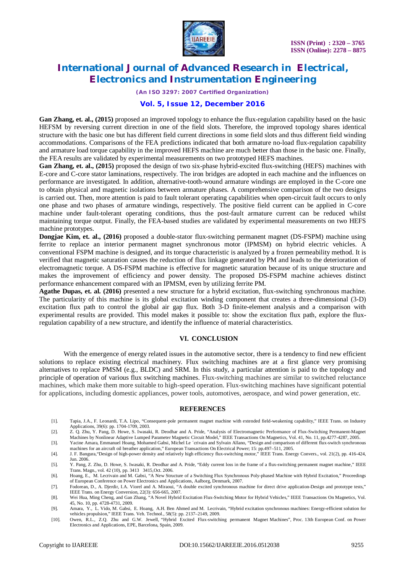

*(An ISO 3297: 2007 Certified Organization)*

### **Vol. 5, Issue 12, December 2016**

**Gan Zhang, et. al., (2015)** proposed an improved topology to enhance the flux-regulation capability based on the basic HEFSM by reversing current direction in one of the field slots. Therefore, the improved topology shares identical structure with the basic one but has different field current directions in some field slots and thus different field winding accommodations. Comparisons of the FEA predictions indicated that both armature no-load flux-regulation capability and armature load torque capability in the improved HEFS machine are much better than those in the basic one. Finally, the FEA results are validated by experimental measurements on two prototyped HEFS machines.

**Gan Zhang, et. al., (2015)** proposed the design of two six-phase hybrid-excited flux-switching (HEFS) machines with E-core and C-core stator laminations, respectively. The iron bridges are adopted in each machine and the influences on performance are investigated. In addition, alternative-tooth-wound armature windings are employed in the C-core one to obtain physical and magnetic isolations between armature phases. A comprehensive comparison of the two designs is carried out. Then, more attention is paid to fault tolerant operating capabilities when open-circuit fault occurs to only one phase and two phases of armature windings, respectively. The positive field current can be applied in C-core machine under fault-tolerant operating conditions, thus the post-fault armature current can be reduced whilst maintaining torque output. Finally, the FEA-based studies are validated by experimental measurements on two HEFS machine prototypes.

**Dongjae Kim, et. al., (2016)** proposed a double-stator flux-switching permanent magnet (DS-FSPM) machine using ferrite to replace an interior permanent magnet synchronous motor (IPMSM) on hybrid electric vehicles. A conventional FSPM machine is designed, and its torque characteristic is analyzed by a frozen permeability method. It is verified that magnetic saturation causes the reduction of flux linkage generated by PM and leads to the deterioration of electromagnetic torque. A DS-FSPM machine is effective for magnetic saturation because of its unique structure and makes the improvement of efficiency and power density. The proposed DS-FSPM machine achieves distinct performance enhancement compared with an IPMSM, even by utilizing ferrite PM.

**Agathe Dupas, et. al. (2016)** presented a new structure for a hybrid excitation, flux-switching synchronous machine. The particularity of this machine is its global excitation winding component that creates a three-dimensional (3-D) excitation flux path to control the global air gap flux. Both 3-D finite-element analysis and a comparison with experimental results are provided. This model makes it possible to: show the excitation flux path, explore the fluxregulation capability of a new structure, and identify the influence of material characteristics.

### **VI. CONCLUSION**

With the emergence of energy related issues in the automotive sector, there is a tendency to find new efficient solutions to replace existing electrical machinery. Flux switching machines are at a first glance very promising alternatives to replace PMSM (e.g., BLDC) and SRM. In this study, a particular attention is paid to the topology and principle of operation of various flux switching machines. Flux-switching machines are similar to switched reluctance machines, which make them more suitable to high-speed operation. Flux-switching machines have significant potential for applications, including domestic appliances, power tools, automotives, aerospace, and wind power generation, etc.

#### **REFERENCES**

- [1]. Tapia, J.A., F. Leonardi, T.A. Lipo, "Consequent-pole permanent magnet machine with extended field-weakening capability," IEEE Trans. on Industry Applications, 39(6): pp. 1704-1709, 2003.
- [2]. Z. Q. Zhu, Y. Pang, D. Howe, S. Iwasaki, R. Deodhar and A. Pride, "Analysis of Electromagnetic Performance of Flux-Switching Permanent-Magnet Machines by Nonlinear Adaptive Lumped Parameter Magnetic Circuit Model," IEEE Transactions On Magnetics, Vol. 41, No. 11, pp.4277-4287, 2005.
- [3]. Yacine Amara, Emmanuel Hoang, Mohamed Gabsi, Michel Le ´crivain and Sylvain Allano, "Design and comparison of different flux-switch synchronous machines for an aircraft oil breather application," European Transactions On Electrical Power; 15: pp.497–511, 2005.
- [4]. J. F. Bangura,"Design of high-power density and relatively high efficiency flux-switching motor," IEEE Trans. Energy Convers., vol. 21(2), pp. 416-424, Jun. 2006.
- [5]. Y. Pang, Z. Zhu, D. Howe, S. Iwasaki, R. Deodhar and A. Pride, "Eddy current loss in the frame of a flux-switching permanent magnet machine," IEEE Trans. Magn., vol. 42 (10), pp. 3413 3415,Oct. 2006. [6]. Hoang, E., M. Lecrivain and M. Gabsi, "A New Structure of a Switching Flux Synchronous Poly-phased Machine with Hybrid Excitation," Proceedings
- of European Conference on Power Electronics and Applications, Aalborg, Denmark, 2007. [7]. Fodorean, D., A. Djerdir, I.A. Viorel and A. Miraoui, "A double excited synchronous machine for direct drive application-Design and prototype tests,"
- IEEE Trans. on Energy Conversion, 22(3): 656-665, 2007. [8]. Wei Hua, Ming Cheng, and Gan Zhang, "A Novel Hybrid Excitation Flux-Switching Motor for Hybrid Vehicles," IEEE Transactions On Magnetics, Vol.
- 45, No. 10, pp. 4728-4731, 2009. [9]. Amara, Y., L. Vido, M. Gabsi, E. Hoang, A.H. Ben Ahmed and M. Lecrivain, "Hybrid excitation synchronous machines: Energy-efficient solution for
- vehicles propulsion," IEEE Trans. Veh. Technol., 58(5): pp. 2137–2149, 2009.
- [10]. Owen, R.L., Z.Q. Zhu and G.W. Jewell, "Hybrid Excited Flux-switching permanent Magnet Machines", Proc. 13th European Conf. on Power Electronics and Applications, EPE, Barcelona, Spain, 2009.